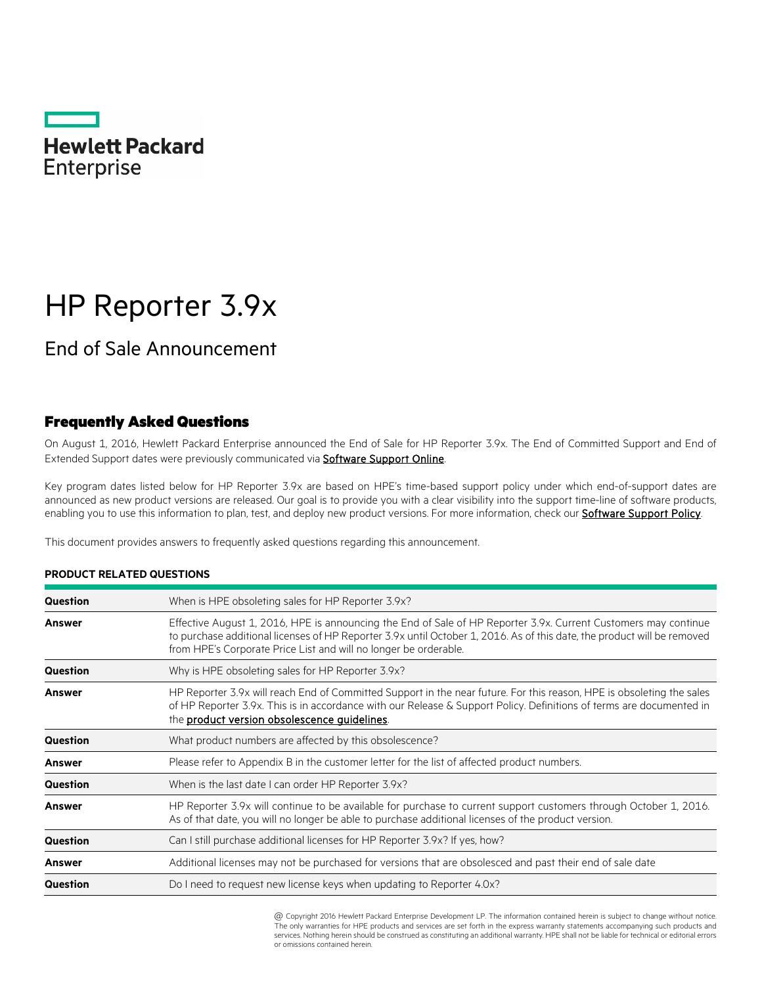

# HP Reporter 3.9x

# End of Sale Announcement

### Frequently Asked Questions

On August 1, 2016, Hewlett Packard Enterprise announced the End of Sale for HP Reporter 3.9x. The End of Committed Support and End of Extended Support dates were previously communicated via **Software Support Online**.

Key program dates listed below for HP Reporter 3.9x are based on HPE's time-based support policy under which end-of-support dates are announced as new product versions are released. Our goal is to provide you with a clear visibility into the support time-line of software products, enabling you to use this information to plan, test, and deploy new product versions. For more information, check our **Software Support Policy**.

This document provides answers to frequently asked questions regarding this announcement.

| Question | When is HPE obsoleting sales for HP Reporter 3.9x?                                                                                                                                                                                                                                                             |
|----------|----------------------------------------------------------------------------------------------------------------------------------------------------------------------------------------------------------------------------------------------------------------------------------------------------------------|
| Answer   | Effective August 1, 2016, HPE is announcing the End of Sale of HP Reporter 3.9x. Current Customers may continue<br>to purchase additional licenses of HP Reporter 3.9x until October 1, 2016. As of this date, the product will be removed<br>from HPE's Corporate Price List and will no longer be orderable. |
| Question | Why is HPE obsoleting sales for HP Reporter 3.9x?                                                                                                                                                                                                                                                              |
| Answer   | HP Reporter 3.9x will reach End of Committed Support in the near future. For this reason, HPE is obsoleting the sales<br>of HP Reporter 3.9x. This is in accordance with our Release & Support Policy. Definitions of terms are documented in<br>the product version obsolescence guidelines.                  |
| Question | What product numbers are affected by this obsolescence?                                                                                                                                                                                                                                                        |
| Answer   | Please refer to Appendix B in the customer letter for the list of affected product numbers.                                                                                                                                                                                                                    |
| Question | When is the last date I can order HP Reporter 3.9x?                                                                                                                                                                                                                                                            |
| Answer   | HP Reporter 3.9x will continue to be available for purchase to current support customers through October 1, 2016.<br>As of that date, you will no longer be able to purchase additional licenses of the product version.                                                                                       |
| Question | Can I still purchase additional licenses for HP Reporter 3.9x? If yes, how?                                                                                                                                                                                                                                    |
| Answer   | Additional licenses may not be purchased for versions that are obsolesced and past their end of sale date                                                                                                                                                                                                      |
| Question | Do I need to request new license keys when updating to Reporter 4.0x?                                                                                                                                                                                                                                          |

#### **PRODUCT RELATED QUESTIONS**

@ Copyright 2016 Hewlett Packard Enterprise Development LP. The information contained herein is subject to change without notice. The only warranties for HPE products and services are set forth in the express warranty statements accompanying such products and services. Nothing herein should be construed as constituting an additional warranty. HPE shall not be liable for technical or editorial errors or omissions contained herein.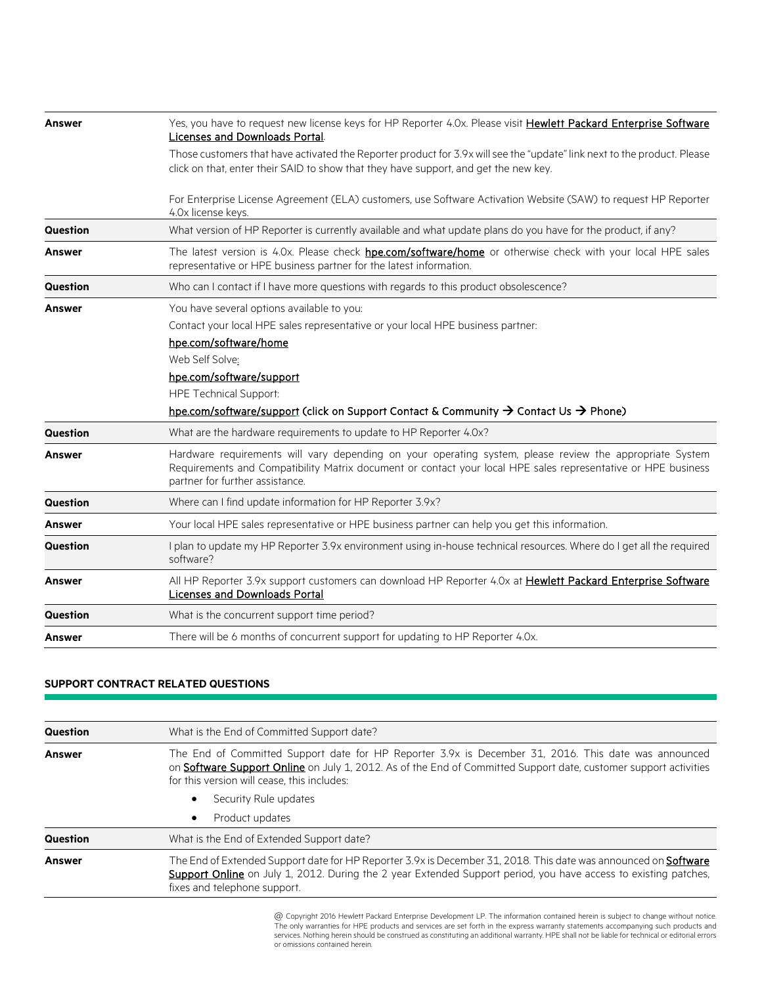| <b>Answer</b>   | Yes, you have to request new license keys for HP Reporter 4.0x. Please visit Hewlett Packard Enterprise Software<br>Licenses and Downloads Portal.                                                                                                           |
|-----------------|--------------------------------------------------------------------------------------------------------------------------------------------------------------------------------------------------------------------------------------------------------------|
|                 | Those customers that have activated the Reporter product for 3.9x will see the "update" link next to the product. Please<br>click on that, enter their SAID to show that they have support, and get the new key.                                             |
|                 | For Enterprise License Agreement (ELA) customers, use Software Activation Website (SAW) to request HP Reporter<br>4.0x license keys.                                                                                                                         |
| <b>Question</b> | What version of HP Reporter is currently available and what update plans do you have for the product, if any?                                                                                                                                                |
| <b>Answer</b>   | The latest version is 4.0x. Please check hpe.com/software/home or otherwise check with your local HPE sales<br>representative or HPE business partner for the latest information.                                                                            |
| <b>Question</b> | Who can I contact if I have more questions with regards to this product obsolescence?                                                                                                                                                                        |
| <b>Answer</b>   | You have several options available to you:                                                                                                                                                                                                                   |
|                 | Contact your local HPE sales representative or your local HPE business partner:                                                                                                                                                                              |
|                 | hpe.com/software/home                                                                                                                                                                                                                                        |
|                 | Web Self Solve:                                                                                                                                                                                                                                              |
|                 | hpe.com/software/support                                                                                                                                                                                                                                     |
|                 | <b>HPE Technical Support:</b>                                                                                                                                                                                                                                |
|                 | hpe.com/software/support (click on Support Contact & Community $\rightarrow$ Contact Us $\rightarrow$ Phone)                                                                                                                                                 |
| <b>Question</b> | What are the hardware requirements to update to HP Reporter 4.0x?                                                                                                                                                                                            |
| <b>Answer</b>   | Hardware requirements will vary depending on your operating system, please review the appropriate System<br>Requirements and Compatibility Matrix document or contact your local HPE sales representative or HPE business<br>partner for further assistance. |
| Question        | Where can I find update information for HP Reporter 3.9x?                                                                                                                                                                                                    |
| <b>Answer</b>   | Your local HPE sales representative or HPE business partner can help you get this information.                                                                                                                                                               |
| Question        | I plan to update my HP Reporter 3.9x environment using in-house technical resources. Where do I get all the required<br>software?                                                                                                                            |
| <b>Answer</b>   | All HP Reporter 3.9x support customers can download HP Reporter 4.0x at Hewlett Packard Enterprise Software<br><b>Licenses and Downloads Portal</b>                                                                                                          |
| <b>Question</b> | What is the concurrent support time period?                                                                                                                                                                                                                  |
| Answer          | There will be 6 months of concurrent support for updating to HP Reporter 4.0x.                                                                                                                                                                               |

#### **SUPPORT CONTRACT RELATED QUESTIONS**

| <b>Question</b> | What is the End of Committed Support date?                                                                                                                                                                                                                              |
|-----------------|-------------------------------------------------------------------------------------------------------------------------------------------------------------------------------------------------------------------------------------------------------------------------|
| Answer          | The End of Committed Support date for HP Reporter 3.9x is December 31, 2016. This date was announced<br>on Software Support Online on July 1, 2012. As of the End of Committed Support date, customer support activities<br>for this version will cease, this includes: |
|                 | Security Rule updates                                                                                                                                                                                                                                                   |
|                 | Product updates<br>$\bullet$                                                                                                                                                                                                                                            |
| <b>Question</b> | What is the End of Extended Support date?                                                                                                                                                                                                                               |
| Answer          | The End of Extended Support date for HP Reporter 3.9x is December 31, 2018. This date was announced on Software<br>Support Online on July 1, 2012. During the 2 year Extended Support period, you have access to existing patches,<br>fixes and telephone support.      |

\* @ Copyright 2016 Hewlett Packard Enterprise Development LP. The information contained herein is subject to change without notice. The only warranties for HPE products and services are set forth in the express warranty statements accompanying such products and<br>services. Nothing herein should be construed as constituting an additional warranty. HPE sha